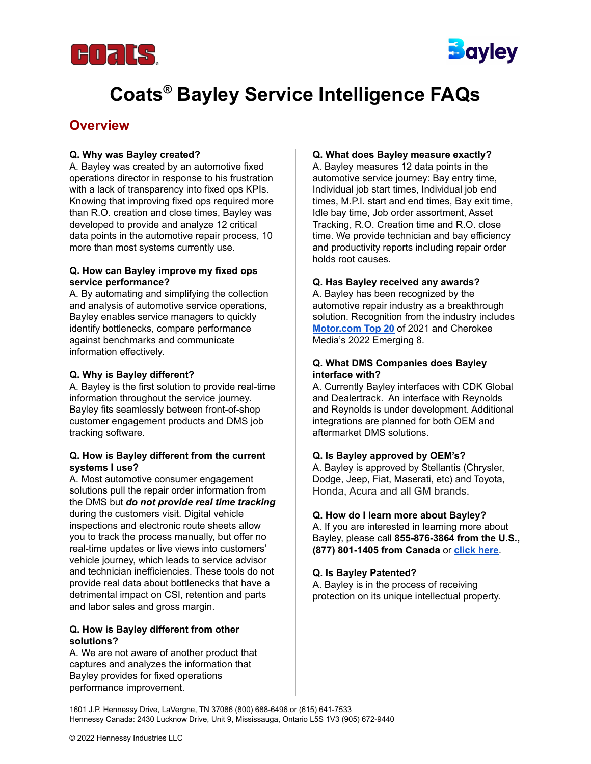



# **Coats ® Bayley Service Intelligence FAQs**

### **Overview**

#### **Q. Why was Bayley created?**

A. Bayley was created by an automotive fixed operations director in response to his frustration with a lack of transparency into fixed ops KPIs. Knowing that improving fixed ops required more than R.O. creation and close times, Bayley was developed to provide and analyze 12 critical data points in the automotive repair process, 10 more than most systems currently use.

#### **Q. How can Bayley improve my fixed ops service performance?**

A. By automating and simplifying the collection and analysis of automotive service operations, Bayley enables service managers to quickly identify bottlenecks, compare performance against benchmarks and communicate information effectively.

#### **Q. Why is Bayley different?**

A. Bayley is the first solution to provide real-time information throughout the service journey. Bayley fits seamlessly between front-of-shop customer engagement products and DMS job tracking software.

#### **Q. How is Bayley different from the current systems I use?**

A. Most automotive consumer engagement solutions pull the repair order information from the DMS but *do not provide real time tracking* during the customers visit. Digital vehicle inspections and electronic route sheets allow you to track the process manually, but offer no real-time updates or live views into customers' vehicle journey, which leads to service advisor and technician inefficiencies. These tools do not provide real data about bottlenecks that have a detrimental impact on CSI, retention and parts and labor sales and gross margin.

#### **Q. How is Bayley different from other solutions?**

A. We are not aware of another product that captures and analyzes the information that Bayley provides for fixed operations performance improvement.

#### **Q. What does Bayley measure exactly?**

A. Bayley measures 12 data points in the automotive service journey: Bay entry time, Individual job start times, Individual job end times, M.P.I. start and end times, Bay exit time, Idle bay time, Job order assortment, Asset Tracking, R.O. Creation time and R.O. close time. We provide technician and bay efficiency and productivity reports including repair order holds root causes.

#### **Q. Has Bayley received any awards?**

A. Bayley has been recognized by the automotive repair industry as a breakthrough solution. Recognition from the industry includes **[Motor.com](https://www.motor.com/top20awards-winners/) Top 20** of 2021 and Cherokee Media's 2022 Emerging 8.

#### **Q. What DMS Companies does Bayley interface with?**

A. Currently Bayley interfaces with CDK Global and Dealertrack. An interface with Reynolds and Reynolds is under development. Additional integrations are planned for both OEM and aftermarket DMS solutions.

#### **Q. Is Bayley approved by OEM's?**

A. Bayley is approved by Stellantis (Chrysler, Dodge, Jeep, Fiat, Maserati, etc) and Toyota, Honda, Acura and all GM brands.

#### **Q. How do I learn more about Bayley?**

A. If you are interested in learning more about Bayley, please call **855-876-3864 from the U.S., (877) 801-1405 from Canada** or **[click](https://www.coatsgarage.com/coats-bayley-service-intelligence) here**.

#### **Q. Is Bayley Patented?**

A. Bayley is in the process of receiving protection on its unique intellectual property.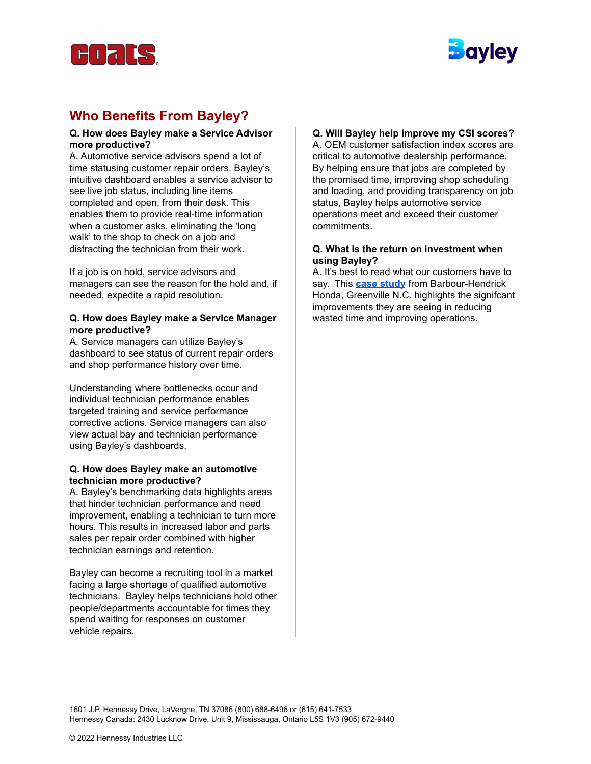



# **Who Benefits From Bayley?**

#### **Q. How does Bayley make a Service Advisor more productive?**

A. Automotive service advisors spend a lot of time statusing customer repair orders. Bayley's intuitive dashboard enables a service advisor to see live job status, including line items completed and open, from their desk. This enables them to provide real-time information when a customer asks, eliminating the 'long' walk' to the shop to check on a job and distracting the technician from their work.

If a job is on hold, service advisors and managers can see the reason for the hold and, if needed, expedite a rapid resolution.

#### **Q. How does Bayley make a Service Manager more productive?**

A. Service managers can utilize Bayley's dashboard to see status of current repair orders and shop performance history over time.

Understanding where bottlenecks occur and individual technician performance enables targeted training and service performance corrective actions. Service managers can also view actual bay and technician performance using Bayley's dashboards.

#### **Q. How does Bayley make an automotive technician more productive?**

A. Bayley's benchmarking data highlights areas that hinder technician performance and need improvement, enabling a technician to turn more hours. This results in increased labor and parts sales per repair order combined with higher technician earnings and retention.

Bayley can become a recruiting tool in a market facing a large shortage of qualified automotive technicians. Bayley helps technicians hold other people/departments accountable for times they spend waiting for responses on customer vehicle repairs.

### **Q. Will Bayley help improve my CSI scores?**

A. OEM customer satisfaction index scores are critical to automotive dealership performance. By helping ensure that jobs are completed by the promised time, improving shop scheduling and loading, and providing transparency on job status, Bayley helps automotive service operations meet and exceed their customer commitments.

#### **Q. What is the return on investment when using Bayley?**

A. It's best to read what our customers have to say. This **case [study](https://www.coatsgarage.com/media/modular_content/Coats_Bayley_Service_Intelligence_Case_Study.pdf)** from Barbour-Hendrick Honda, Greenville N.C. highlights the signifcant improvements they are seeing in reducing wasted time and improving operations.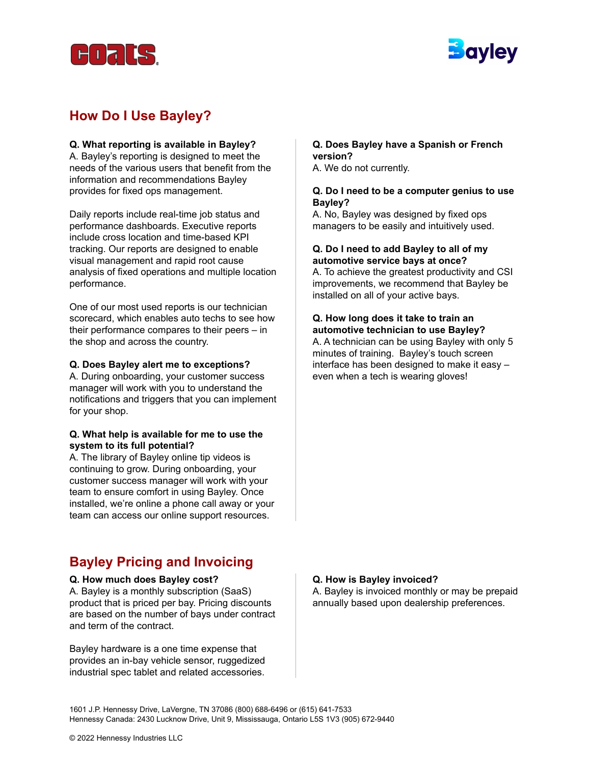



# **How Do I Use Bayley?**

#### **Q. What reporting is available in Bayley?**

A. Bayley's reporting is designed to meet the needs of the various users that benefit from the information and recommendations Bayley provides for fixed ops management.

Daily reports include real-time job status and performance dashboards. Executive reports include cross location and time-based KPI tracking. Our reports are designed to enable visual management and rapid root cause analysis of fixed operations and multiple location performance.

One of our most used reports is our technician scorecard, which enables auto techs to see how their performance compares to their peers – in the shop and across the country.

#### **Q. Does Bayley alert me to exceptions?**

A. During onboarding, your customer success manager will work with you to understand the notifications and triggers that you can implement for your shop.

#### **Q. What help is available for me to use the system to its full potential?**

A. The library of Bayley online tip videos is continuing to grow. During onboarding, your customer success manager will work with your team to ensure comfort in using Bayley. Once installed, we're online a phone call away or your team can access our online support resources.

# **Bayley Pricing and Invoicing**

#### **Q. How much does Bayley cost?**

A. Bayley is a monthly subscription (SaaS) product that is priced per bay. Pricing discounts are based on the number of bays under contract and term of the contract.

Bayley hardware is a one time expense that provides an in-bay vehicle sensor, ruggedized industrial spec tablet and related accessories.

#### **Q. Does Bayley have a Spanish or French version?**

A. We do not currently.

#### **Q. Do I need to be a computer genius to use Bayley?**

A. No, Bayley was designed by fixed ops managers to be easily and intuitively used.

#### **Q. Do I need to add Bayley to all of my automotive service bays at once?**

A. To achieve the greatest productivity and CSI improvements, we recommend that Bayley be installed on all of your active bays.

#### **Q. How long does it take to train an automotive technician to use Bayley?**

A. A technician can be using Bayley with only 5 minutes of training. Bayley's touch screen interface has been designed to make it easy – even when a tech is wearing gloves!

#### **Q. How is Bayley invoiced?**

A. Bayley is invoiced monthly or may be prepaid annually based upon dealership preferences.